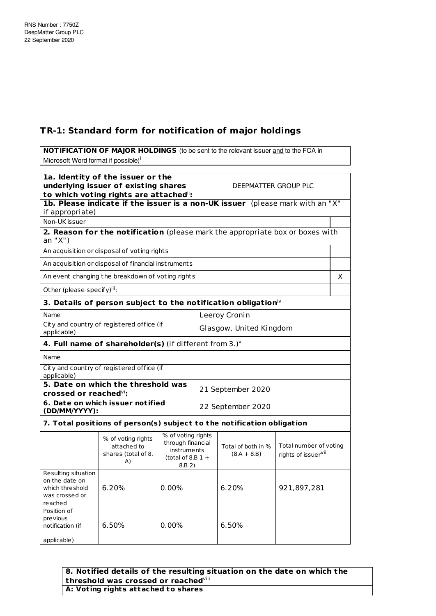## **TR-1: Standard form for notification of major holdings**

**NOTIFICATION OF MAJOR HOLDINGS** (to be sent to the relevant issuer and to the FCA in Microsoft Word format if possible)<sup>i</sup>

| 1a. Identity of the issuer or the<br>underlying issuer of existing shares<br>to which voting rights are attached": |                                                                               |                                                                                         | DEEPMATTER GROUP PLC    |                                     |                                                           |   |
|--------------------------------------------------------------------------------------------------------------------|-------------------------------------------------------------------------------|-----------------------------------------------------------------------------------------|-------------------------|-------------------------------------|-----------------------------------------------------------|---|
| if appropriate)                                                                                                    | 1b. Please indicate if the issuer is a non-UK issuer (please mark with an "X" |                                                                                         |                         |                                     |                                                           |   |
| Non-UK issuer                                                                                                      |                                                                               |                                                                                         |                         |                                     |                                                           |   |
| an "X")                                                                                                            | 2. Reason for the notification (please mark the appropriate box or boxes with |                                                                                         |                         |                                     |                                                           |   |
|                                                                                                                    | An acquisition or disposal of voting rights                                   |                                                                                         |                         |                                     |                                                           |   |
|                                                                                                                    | An acquisition or disposal of financial instruments                           |                                                                                         |                         |                                     |                                                           |   |
|                                                                                                                    | An event changing the breakdown of voting rights                              |                                                                                         |                         |                                     |                                                           | X |
| Other (please specify)iii:                                                                                         |                                                                               |                                                                                         |                         |                                     |                                                           |   |
|                                                                                                                    | 3. Details of person subject to the notification obligation $\dot{N}$         |                                                                                         |                         |                                     |                                                           |   |
| Name                                                                                                               |                                                                               |                                                                                         |                         | Leeroy Cronin                       |                                                           |   |
| applicable)                                                                                                        | City and country of registered office (if                                     |                                                                                         | Glasgow, United Kingdom |                                     |                                                           |   |
|                                                                                                                    | 4. Full name of shareholder(s) (if different from $3.$ ) $v$                  |                                                                                         |                         |                                     |                                                           |   |
| Name                                                                                                               |                                                                               |                                                                                         |                         |                                     |                                                           |   |
| City and country of registered office (if<br>applicable)                                                           |                                                                               |                                                                                         |                         |                                     |                                                           |   |
| 5. Date on which the threshold was                                                                                 |                                                                               |                                                                                         |                         | 21 September 2020                   |                                                           |   |
| crossed or reached $\mathrm{v}$ i:<br>6. Date on which issuer notified                                             |                                                                               |                                                                                         |                         |                                     |                                                           |   |
| (DD/MM/YYYY):                                                                                                      |                                                                               |                                                                                         | 22 September 2020       |                                     |                                                           |   |
|                                                                                                                    | 7. Total positions of person(s) subject to the notification obligation        |                                                                                         |                         |                                     |                                                           |   |
|                                                                                                                    | % of voting rights<br>attached to<br>shares (total of 8.<br>A)                | % of voting rights<br>through financial<br>instruments<br>(total of 8.B $1 +$<br>8.B 2) |                         | Total of both in %<br>$(8.A + 8.B)$ | Total number of voting<br>rights of issuer <sup>vii</sup> |   |
| Resulting situation<br>on the date on<br>which threshold<br>was crossed or<br>reached                              | 6.20%                                                                         | 0.00%                                                                                   |                         | 6.20%                               | 921,897,281                                               |   |
| Position of<br>previous<br>notification (if<br>applicable)                                                         | 6.50%                                                                         | 0.00%                                                                                   |                         | 6.50%                               |                                                           |   |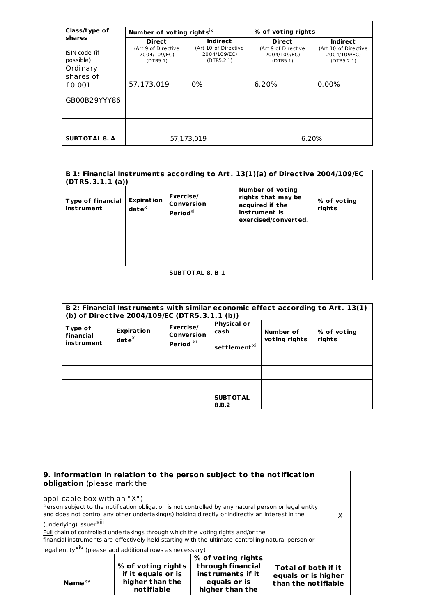| Class/type of                                   | Number of voting rights <sup>ix</sup>                |                                                         | % of voting rights                                   |                                                         |
|-------------------------------------------------|------------------------------------------------------|---------------------------------------------------------|------------------------------------------------------|---------------------------------------------------------|
| shares<br>ISIN code (if                         | <b>Direct</b><br>(Art 9 of Directive<br>2004/109/EC) | <b>Indirect</b><br>(Art 10 of Directive<br>2004/109/EC) | <b>Direct</b><br>(Art 9 of Directive<br>2004/109/EC) | <b>Indirect</b><br>(Art 10 of Directive<br>2004/109/EC) |
| possible)                                       | (DTR5.1)                                             | (DTR5.2.1)                                              | (DTR5.1)                                             | (DTR5.2.1)                                              |
| Ordinary<br>shares of<br>£0.001<br>GB00B29YYY86 | 57,173,019                                           | $0\%$                                                   | 6.20%                                                | $0.00\%$                                                |
|                                                 |                                                      |                                                         |                                                      |                                                         |
|                                                 |                                                      |                                                         |                                                      |                                                         |
|                                                 |                                                      |                                                         |                                                      |                                                         |
| <b>SUBT OT AL 8. A</b>                          |                                                      | 57,173,019                                              |                                                      | 6.20%                                                   |

| (DTR5.3.1.1(a))                               |                                                   |                                                 | B 1: Financial Instruments according to Art. 13(1)(a) of Directive 2004/109/EC                     |                       |
|-----------------------------------------------|---------------------------------------------------|-------------------------------------------------|----------------------------------------------------------------------------------------------------|-----------------------|
| <b>Type of financial</b><br><b>instrument</b> | <b>Expiration</b><br>$\mathbf{date}^{\mathsf{X}}$ | Exercise/<br>Conversion<br>Period <sup>xi</sup> | Number of voting<br>rights that may be<br>acquired if the<br>instrument is<br>exercised/converted. | % of voting<br>rights |
|                                               |                                                   |                                                 |                                                                                                    |                       |
|                                               |                                                   |                                                 |                                                                                                    |                       |
|                                               |                                                   |                                                 |                                                                                                    |                       |
|                                               |                                                   | <b>SUBTOTAL 8. B 1</b>                          |                                                                                                    |                       |

|                                           | (b) of Directive 2004/109/EC (DTR5.3.1.1 (b)) |                                                        |                                                         |                            | B 2: Financial Instruments with similar economic effect according to Art. 13(1) |
|-------------------------------------------|-----------------------------------------------|--------------------------------------------------------|---------------------------------------------------------|----------------------------|---------------------------------------------------------------------------------|
| Type of<br>financial<br><b>instrument</b> | <b>Expiration</b><br>$\mathbf{date}^\times$   | Exercise/<br><b>Conversion</b><br>Period <sup>xi</sup> | <b>Physical or</b><br>cash<br>settlement <sup>xii</sup> | Number of<br>voting rights | % of voting<br>rights                                                           |
|                                           |                                               |                                                        |                                                         |                            |                                                                                 |
|                                           |                                               |                                                        |                                                         |                            |                                                                                 |
|                                           |                                               |                                                        |                                                         |                            |                                                                                 |
|                                           |                                               |                                                        | <b>SUBT OT AL</b><br>8.B.2                              |                            |                                                                                 |

| 9. Information in relation to the person subject to the notification<br>obligation (please mark the |                                                                                                       |                                                                              |                                            |  |  |
|-----------------------------------------------------------------------------------------------------|-------------------------------------------------------------------------------------------------------|------------------------------------------------------------------------------|--------------------------------------------|--|--|
| applicable box with an "X")                                                                         |                                                                                                       |                                                                              |                                            |  |  |
|                                                                                                     | Person subject to the notification obligation is not controlled by any natural person or legal entity |                                                                              |                                            |  |  |
|                                                                                                     | and does not control any other undertaking(s) holding directly or indirectly an interest in the       |                                                                              |                                            |  |  |
| (underlying) issuer <sup>Xiii</sup>                                                                 |                                                                                                       |                                                                              |                                            |  |  |
| Full chain of controlled undertakings through which the voting rights and/or the                    |                                                                                                       |                                                                              |                                            |  |  |
| financial instruments are effectively held starting with the ultimate controlling natural person or |                                                                                                       |                                                                              |                                            |  |  |
| legal entity <sup>XiV</sup> (please add additional rows as necessary)                               |                                                                                                       |                                                                              |                                            |  |  |
|                                                                                                     | % of voting rights<br>if it equals or is<br>higher than the                                           | % of voting rights<br>through financial<br>instruments if it<br>equals or is | Total of both if it<br>equals or is higher |  |  |
|                                                                                                     | than the notifiable<br>Name $XV$<br>notifiable<br>higher than the                                     |                                                                              |                                            |  |  |